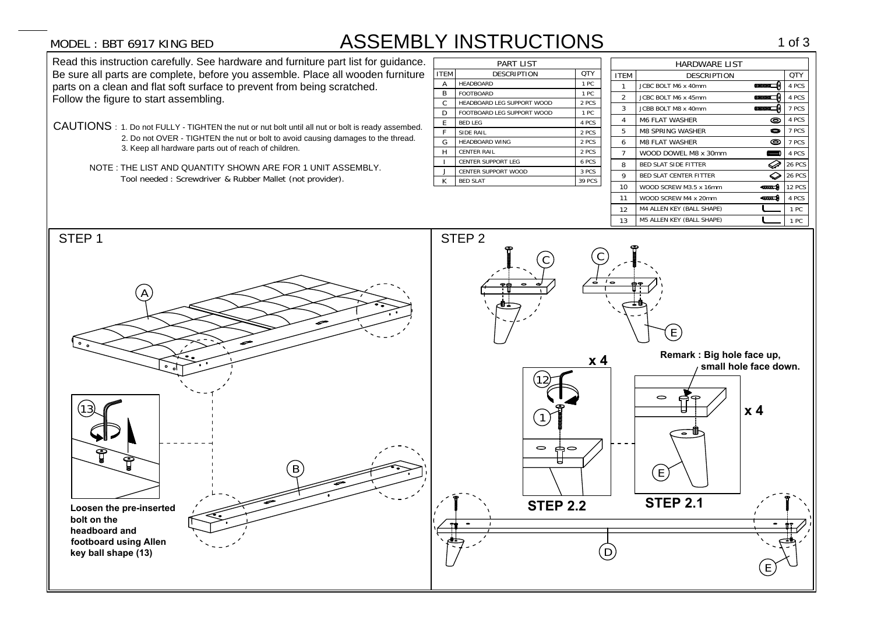## MODEL : BBT 6917 KING BED

## MODEL : BBT 6917 KING BED<br>Read this instruction carefully. See hardware and furniture part list for guidance.

MODEL : BBT 6917 KING BED ASSEMB<br>Read this instruction carefully. See hardware and furniture part list for guidance.<br>Be sure all parts are complete, before you assemble. Place all wooden furniture **Be sure all parts are complete, before you assemble. Place all woode parts on a clean and flat soft surface to prevent from being scratched.** parts on a clean and flat soft surface to prevent from being scratched.<br>Follow the figure to start assembling.

- CAUTIONS : 1. Do not FULLY TIGHTEN the nut or nut bolt until all nut or bolt is ready assembed. S : 1. Do not FULLY - TIGHTEN the nut or nut bolt until all nut or bolt is ready assembe<br>2. Do not OVER - TIGHTEN the nut or bolt to avoid causing damages to the thread. 2. Do not OVER - TIGHTEN the nut or bolt to avoid causing damages to the thread.<br>3. Keep all hardware parts out of reach of children.
	- NOTE : THE LIST AND QUANTITY SHOWN ARE FOR 1 UNIT ASSEMBLY.

| <b>ITEM</b> | <b>DESCRIPTION</b>         | <b>OTY</b>    |  |  |
|-------------|----------------------------|---------------|--|--|
| A           | <b>HEADBOARD</b>           | 1PC           |  |  |
| R           | <b>FOOTBOARD</b>           | 1PC           |  |  |
| C           | HEADBOARD LEG SUPPORT WOOD | 2 PCS         |  |  |
| D           | FOOTBOARD LEG SUPPORT WOOD | 1PC           |  |  |
| E           | <b>BED LEG</b>             | 4 PCS         |  |  |
| F           | SIDE RAIL                  | 2 PCS         |  |  |
| G           | <b>HEADBOARD WING</b>      | 2 PCS         |  |  |
| H           | <b>CENTER RAIL</b>         | 2 PCS         |  |  |
| Ī           | <b>CENTER SUPPORT LEG</b>  | 6 PCS         |  |  |
| J           | <b>CENTER SUPPORT WOOD</b> | 3 PCS         |  |  |
| K           | <b>BED SLAT</b>            | <b>39 PCS</b> |  |  |

| <b>6917 KING BED</b>                                                                   |                  | <b>ASSEMBLY INSTRUCTIONS</b>                            |                 |                      |                                  |             | 1 of $3$      |
|----------------------------------------------------------------------------------------|------------------|---------------------------------------------------------|-----------------|----------------------|----------------------------------|-------------|---------------|
| uction carefully. See hardware and furniture part list for guidance.                   | <b>PART LIST</b> |                                                         |                 | <b>HARDWARE LIST</b> |                                  |             |               |
| ts are complete, before you assemble. Place all wooden furniture                       | <b>ITEM</b>      | <b>DESCRIPTION</b>                                      | QTY             | <b>ITEM</b>          | <b>DESCRIPTION</b>               |             | QTY           |
| in and flat soft surface to prevent from being scratched.                              |                  | <b>HEADBOARD</b>                                        | 1 PC            |                      | JCBC BOLT M6 x 40mm              |             | 4 PCS         |
| re to start assembling.                                                                |                  | <b>FOOTBOARD</b>                                        | 1 PC            | $\boldsymbol{2}$     | JCBC BOLT M6 x 45mm              |             | 4 PCS         |
|                                                                                        |                  | HEADBOARD LEG SUPPORT WOOD                              | 2 PCS           | 3                    | <b>JCBB BOLT M8 x 40mm</b>       |             | 7 PCS         |
|                                                                                        |                  | FOOTBOARD LEG SUPPORT WOOD                              | 1 PC            | 4                    | <b>M6 FLAT WASHER</b>            | ©           | 4 PCS         |
| 1. Do not FULLY - TIGHTEN the nut or nut bolt until all nut or bolt is ready assembed. | E                | <b>BED LEG</b>                                          | 4 PCS           |                      |                                  |             |               |
| 2. Do not OVER - TIGHTEN the nut or bolt to avoid causing damages to the thread.       |                  | <b>SIDE RAIL</b>                                        | 2 PCS           | 5                    | <b>M8 SPRING WASHER</b>          | $\bullet$   | 7 PCS         |
| 3. Keep all hardware parts out of reach of children.                                   |                  | <b>HEADBOARD WING</b>                                   | 2 PCS           | 6                    | <b>M8 FLAT WASHER</b>            | ◎           | 7 PCS         |
|                                                                                        |                  | <b>CENTER RAIL</b>                                      | 2 PCS           | $\overline{7}$       | WOOD DOWEL M8 x 30mm             |             | 4 PCS         |
| THE LIST AND QUANTITY SHOWN ARE FOR 1 UNIT ASSEMBLY.                                   |                  | <b>CENTER SUPPORT LEG</b><br><b>CENTER SUPPORT WOOD</b> | 6 PCS           | 8                    | <b>BED SLAT SIDE FITTER</b>      | ⊘           | <b>26 PCS</b> |
| Tool needed: Screwdriver & Rubber Mallet (not provider).                               |                  | <b>BED SLAT</b>                                         | 3 PCS<br>39 PCS | 9                    | <b>BED SLAT CENTER FITTER</b>    | ◇           | <b>26 PCS</b> |
|                                                                                        |                  |                                                         |                 | 10                   | WOOD SCREW M3.5 x 16mm           | ema. A      | <b>12 PCS</b> |
|                                                                                        |                  |                                                         |                 | 11                   | WOOD SCREW M4 x 20mm             | <b>KING</b> | 4 PCS         |
|                                                                                        |                  |                                                         |                 | 12                   | M4 ALLEN KEY (BALL SHAPE)        |             | 1 PC          |
|                                                                                        |                  |                                                         |                 | 13                   | <b>M5 ALLEN KEY (BALL SHAPE)</b> |             | 1 PC          |

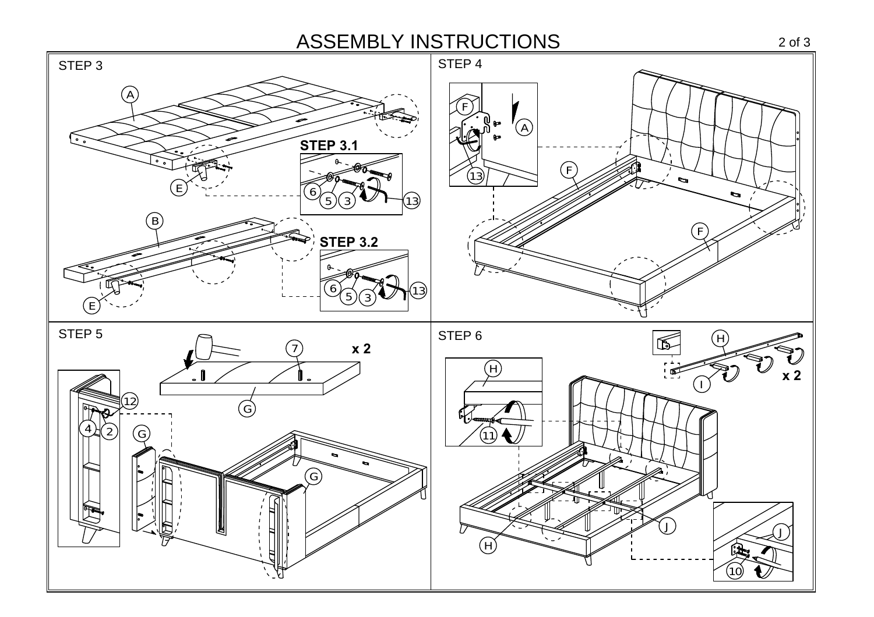